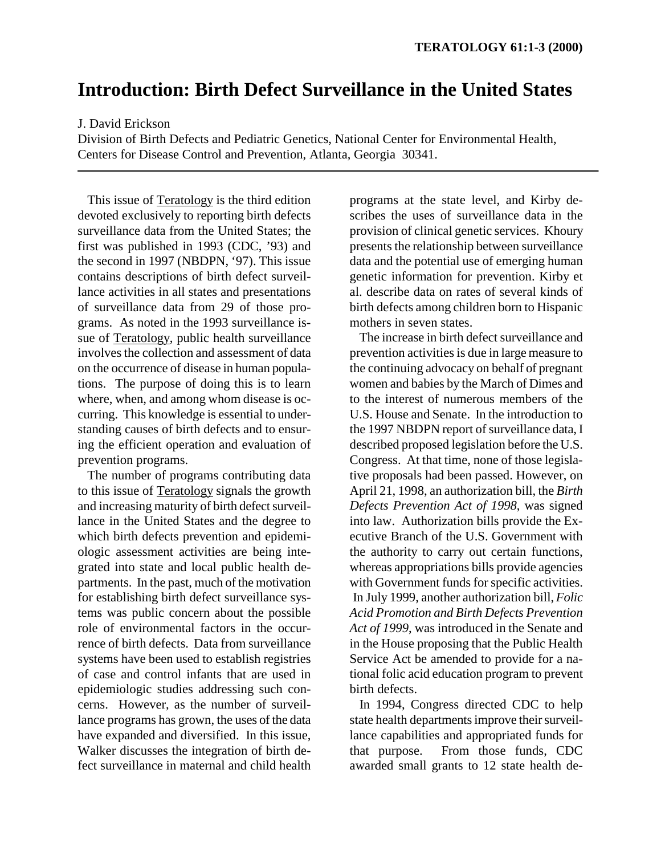## **Introduction: Birth Defect Surveillance in the United States**

## J. David Erickson

Division of Birth Defects and Pediatric Genetics, National Center for Environmental Health, Centers for Disease Control and Prevention, Atlanta, Georgia 30341.

 This issue of Teratology is the third edition devoted exclusively to reporting birth defects surveillance data from the United States; the first was published in 1993 (CDC, '93) and the second in 1997 (NBDPN, '97). This issue contains descriptions of birth defect surveillance activities in all states and presentations of surveillance data from 29 of those programs. As noted in the 1993 surveillance issue of Teratology, public health surveillance involves the collection and assessment of data on the occurrence of disease in human populations. The purpose of doing this is to learn where, when, and among whom disease is occurring. This knowledge is essential to understanding causes of birth defects and to ensuring the efficient operation and evaluation of prevention programs.

 The number of programs contributing data to this issue of Teratology signals the growth and increasing maturity of birth defect surveillance in the United States and the degree to which birth defects prevention and epidemiologic assessment activities are being integrated into state and local public health departments. In the past, much of the motivation for establishing birth defect surveillance systems was public concern about the possible role of environmental factors in the occurrence of birth defects. Data from surveillance systems have been used to establish registries of case and control infants that are used in epidemiologic studies addressing such concerns. However, as the number of surveillance programs has grown, the uses of the data have expanded and diversified. In this issue, Walker discusses the integration of birth defect surveillance in maternal and child health

programs at the state level, and Kirby describes the uses of surveillance data in the provision of clinical genetic services. Khoury presents the relationship between surveillance data and the potential use of emerging human genetic information for prevention. Kirby et al. describe data on rates of several kinds of birth defects among children born to Hispanic mothers in seven states.

 The increase in birth defect surveillance and prevention activities is due in large measure to the continuing advocacy on behalf of pregnant women and babies by the March of Dimes and to the interest of numerous members of the U.S. House and Senate. In the introduction to the 1997 NBDPN report of surveillance data, I described proposed legislation before the U.S. Congress. At that time, none of those legislative proposals had been passed. However, on April 21, 1998, an authorization bill, the *Birth Defects Prevention Act of 1998*, was signed into law. Authorization bills provide the Executive Branch of the U.S. Government with the authority to carry out certain functions, whereas appropriations bills provide agencies with Government funds for specific activities. In July 1999, another authorization bill, *Folic Acid Promotion and Birth Defects Prevention Act of 1999*, was introduced in the Senate and in the House proposing that the Public Health Service Act be amended to provide for a national folic acid education program to prevent birth defects.

 In 1994, Congress directed CDC to help state health departments improve their surveillance capabilities and appropriated funds for that purpose. From those funds, CDC awarded small grants to 12 state health de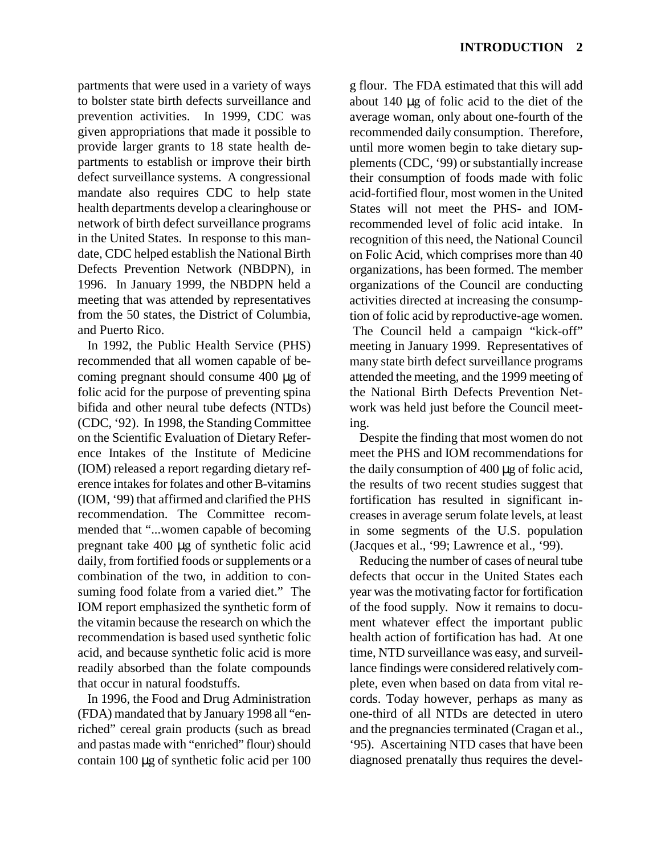partments that were used in a variety of ways to bolster state birth defects surveillance and prevention activities. In 1999, CDC was given appropriations that made it possible to provide larger grants to 18 state health departments to establish or improve their birth defect surveillance systems. A congressional mandate also requires CDC to help state health departments develop a clearinghouse or network of birth defect surveillance programs in the United States. In response to this mandate, CDC helped establish the National Birth Defects Prevention Network (NBDPN), in 1996. In January 1999, the NBDPN held a meeting that was attended by representatives from the 50 states, the District of Columbia, and Puerto Rico.

 In 1992, the Public Health Service (PHS) recommended that all women capable of becoming pregnant should consume 400 µg of folic acid for the purpose of preventing spina bifida and other neural tube defects (NTDs) (CDC, '92). In 1998, the Standing Committee on the Scientific Evaluation of Dietary Reference Intakes of the Institute of Medicine (IOM) released a report regarding dietary reference intakes for folates and other B-vitamins (IOM, '99) that affirmed and clarified the PHS recommendation. The Committee recommended that "...women capable of becoming pregnant take 400 µg of synthetic folic acid daily, from fortified foods or supplements or a combination of the two, in addition to consuming food folate from a varied diet." The IOM report emphasized the synthetic form of the vitamin because the research on which the recommendation is based used synthetic folic acid, and because synthetic folic acid is more readily absorbed than the folate compounds that occur in natural foodstuffs.

 In 1996, the Food and Drug Administration (FDA) mandated that by January 1998 all "enriched" cereal grain products (such as bread and pastas made with "enriched" flour) should contain 100 µg of synthetic folic acid per 100 g flour. The FDA estimated that this will add about 140 µg of folic acid to the diet of the average woman, only about one-fourth of the recommended daily consumption. Therefore, until more women begin to take dietary supplements (CDC, '99) or substantially increase their consumption of foods made with folic acid-fortified flour, most women in the United States will not meet the PHS- and IOMrecommended level of folic acid intake. In recognition of this need, the National Council on Folic Acid, which comprises more than 40 organizations, has been formed. The member organizations of the Council are conducting activities directed at increasing the consumption of folic acid by reproductive-age women. The Council held a campaign "kick-off" meeting in January 1999. Representatives of many state birth defect surveillance programs attended the meeting, and the 1999 meeting of the National Birth Defects Prevention Network was held just before the Council meeting.

 Despite the finding that most women do not meet the PHS and IOM recommendations for the daily consumption of 400 µg of folic acid, the results of two recent studies suggest that fortification has resulted in significant increases in average serum folate levels, at least in some segments of the U.S. population (Jacques et al., '99; Lawrence et al., '99).

 Reducing the number of cases of neural tube defects that occur in the United States each year was the motivating factor for fortification of the food supply. Now it remains to document whatever effect the important public health action of fortification has had. At one time, NTD surveillance was easy, and surveillance findings were considered relatively complete, even when based on data from vital records. Today however, perhaps as many as one-third of all NTDs are detected in utero and the pregnancies terminated (Cragan et al., '95). Ascertaining NTD cases that have been diagnosed prenatally thus requires the devel